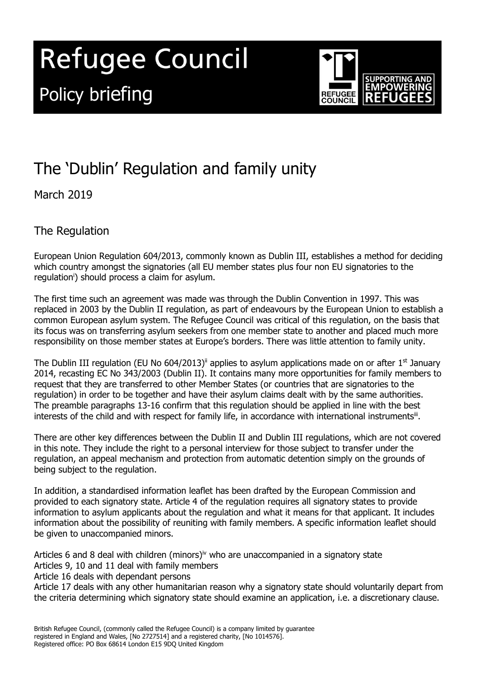# **Refugee Council** Policy briefing



# The 'Dublin' Regulation and family unity

March 2019

The Regulation

European Union Regulation 604/2013, commonly known as Dublin III, establishes a method for deciding which country amongst the signatories (all EU member states plus four non EU signatories to the regulation<sup>i</sup>) should process a claim for asylum.

The first time such an agreement was made was through the Dublin Convention in 1997. This was replaced in 2003 by the Dublin II regulation, as part of endeavours by the European Union to establish a common European asylum system. The Refugee Council was critical of this regulation, on the basis that its focus was on transferring asylum seekers from one member state to another and placed much more responsibility on those member states at Europe's borders. There was little attention to family unity.

The Dublin III regulation (EU No 604/2013)<sup>ii</sup> applies to asylum applications made on or after 1<sup>st</sup> January 2014, recasting EC No 343/2003 (Dublin II). It contains many more opportunities for family members to request that they are transferred to other Member States (or countries that are signatories to the regulation) in order to be together and have their asylum claims dealt with by the same authorities. The preamble paragraphs 13-16 confirm that this regulation should be applied in line with the best interests of the child and with respect for family life, in accordance with international instrumentsii.

There are other key differences between the Dublin II and Dublin III regulations, which are not covered in this note. They include the right to a personal interview for those subject to transfer under the regulation, an appeal mechanism and protection from automatic detention simply on the grounds of being subject to the regulation.

In addition, a standardised information leaflet has been drafted by the European Commission and provided to each signatory state. Article 4 of the regulation requires all signatory states to provide information to asylum applicants about the regulation and what it means for that applicant. It includes information about the possibility of reuniting with family members. A specific information leaflet should be given to unaccompanied minors.

Articles 6 and 8 deal with children (minors)<sup>iv</sup> who are unaccompanied in a signatory state Articles 9, 10 and 11 deal with family members

Article 16 deals with dependant persons

Article 17 deals with any other humanitarian reason why a signatory state should voluntarily depart from the criteria determining which signatory state should examine an application, i.e. a discretionary clause.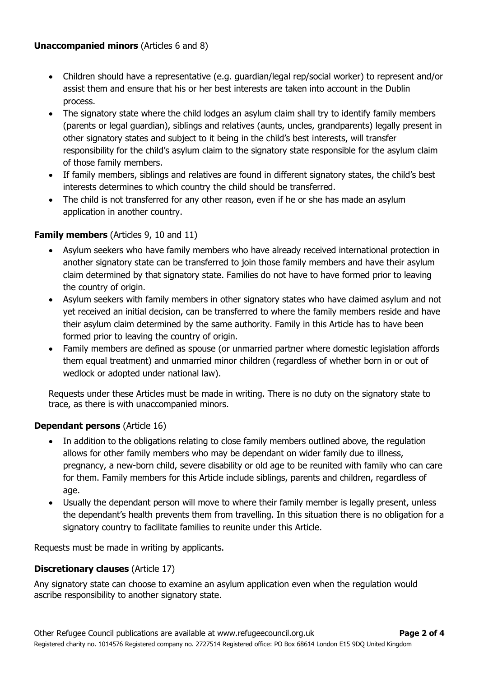#### **Unaccompanied minors** (Articles 6 and 8)

- Children should have a representative (e.g. guardian/legal rep/social worker) to represent and/or assist them and ensure that his or her best interests are taken into account in the Dublin process.
- The signatory state where the child lodges an asylum claim shall try to identify family members (parents or legal guardian), siblings and relatives (aunts, uncles, grandparents) legally present in other signatory states and subject to it being in the child's best interests, will transfer responsibility for the child's asylum claim to the signatory state responsible for the asylum claim of those family members.
- If family members, siblings and relatives are found in different signatory states, the child's best interests determines to which country the child should be transferred.
- The child is not transferred for any other reason, even if he or she has made an asylum application in another country.

### **Family members** (Articles 9, 10 and 11)

- Asylum seekers who have family members who have already received international protection in another signatory state can be transferred to join those family members and have their asylum claim determined by that signatory state. Families do not have to have formed prior to leaving the country of origin.
- Asylum seekers with family members in other signatory states who have claimed asylum and not yet received an initial decision, can be transferred to where the family members reside and have their asylum claim determined by the same authority. Family in this Article has to have been formed prior to leaving the country of origin.
- Family members are defined as spouse (or unmarried partner where domestic legislation affords them equal treatment) and unmarried minor children (regardless of whether born in or out of wedlock or adopted under national law).

Requests under these Articles must be made in writing. There is no duty on the signatory state to trace, as there is with unaccompanied minors.

#### **Dependant persons** (Article 16)

- In addition to the obligations relating to close family members outlined above, the regulation allows for other family members who may be dependant on wider family due to illness, pregnancy, a new-born child, severe disability or old age to be reunited with family who can care for them. Family members for this Article include siblings, parents and children, regardless of age.
- Usually the dependant person will move to where their family member is legally present, unless the dependant's health prevents them from travelling. In this situation there is no obligation for a signatory country to facilitate families to reunite under this Article.

Requests must be made in writing by applicants.

## **Discretionary clauses** (Article 17)

Any signatory state can choose to examine an asylum application even when the regulation would ascribe responsibility to another signatory state.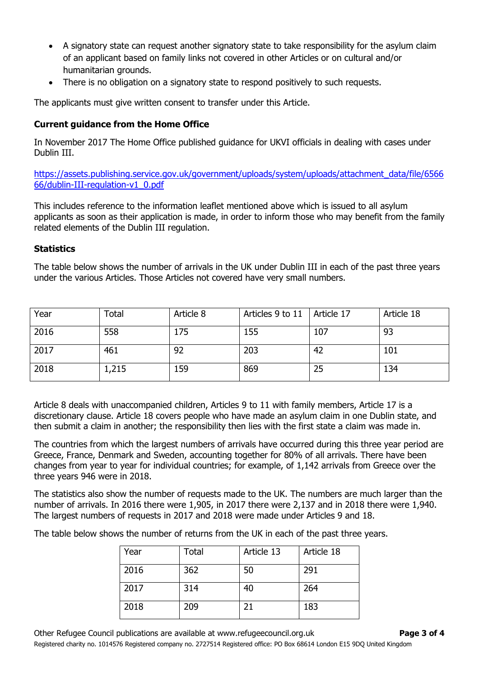- A signatory state can request another signatory state to take responsibility for the asylum claim of an applicant based on family links not covered in other Articles or on cultural and/or humanitarian grounds.
- There is no obligation on a signatory state to respond positively to such requests.

The applicants must give written consent to transfer under this Article.

#### **Current guidance from the Home Office**

In November 2017 The Home Office published guidance for UKVI officials in dealing with cases under Dublin III.

[https://assets.publishing.service.gov.uk/government/uploads/system/uploads/attachment\\_data/file/6566](https://assets.publishing.service.gov.uk/government/uploads/system/uploads/attachment_data/file/656666/dublin-III-regulation-v1_0.pdf) [66/dublin-III-regulation-v1\\_0.pdf](https://assets.publishing.service.gov.uk/government/uploads/system/uploads/attachment_data/file/656666/dublin-III-regulation-v1_0.pdf)

This includes reference to the information leaflet mentioned above which is issued to all asylum applicants as soon as their application is made, in order to inform those who may benefit from the family related elements of the Dublin III regulation.

#### **Statistics**

The table below shows the number of arrivals in the UK under Dublin III in each of the past three years under the various Articles. Those Articles not covered have very small numbers.

| Year | Total | Article 8 | Articles 9 to 11 | Article 17 | Article 18 |
|------|-------|-----------|------------------|------------|------------|
| 2016 | 558   | 175       | 155              | 107        | 93         |
| 2017 | 461   | 92        | 203              | 42         | 101        |
| 2018 | 1,215 | 159       | 869              | 25         | 134        |

Article 8 deals with unaccompanied children, Articles 9 to 11 with family members, Article 17 is a discretionary clause. Article 18 covers people who have made an asylum claim in one Dublin state, and then submit a claim in another; the responsibility then lies with the first state a claim was made in.

The countries from which the largest numbers of arrivals have occurred during this three year period are Greece, France, Denmark and Sweden, accounting together for 80% of all arrivals. There have been changes from year to year for individual countries; for example, of 1,142 arrivals from Greece over the three years 946 were in 2018.

The statistics also show the number of requests made to the UK. The numbers are much larger than the number of arrivals. In 2016 there were 1,905, in 2017 there were 2,137 and in 2018 there were 1,940. The largest numbers of requests in 2017 and 2018 were made under Articles 9 and 18.

The table below shows the number of returns from the UK in each of the past three years.

| Year | <b>Total</b> | Article 13 | Article 18 |
|------|--------------|------------|------------|
| 2016 | 362          | 50         | 291        |
| 2017 | 314          | 40         | 264        |
| 2018 | 209          | 21         | 183        |